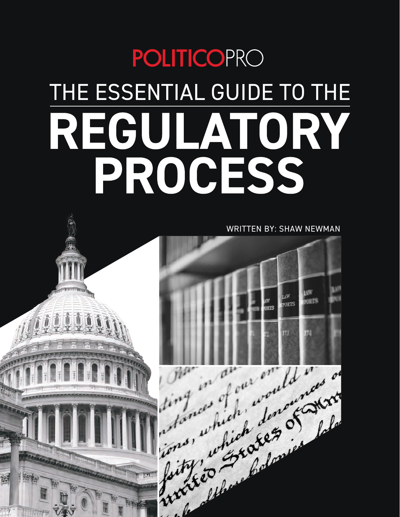# **POLITICOPRO** THE ESSENTIAL GUIDE TO THE REGULATORY PROCESS

WRITTEN BY: SHAW NEWMAN



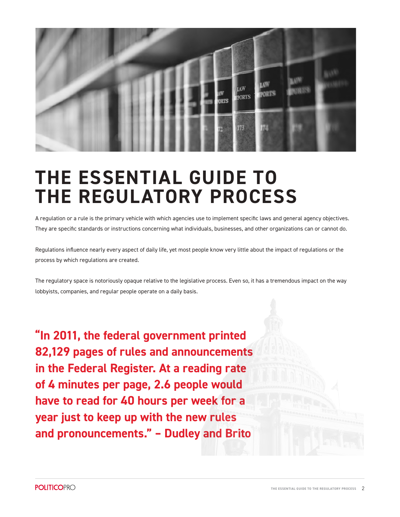

# **THE ESSENTIAL GUIDE TO THE REGULATORY PROCESS**

A regulation or a rule is the primary vehicle with which agencies use to implement specific laws and general agency objectives. They are specific standards or instructions concerning what individuals, businesses, and other organizations can or cannot do.

Regulations influence nearly every aspect of daily life, yet most people know very little about the impact of regulations or the process by which regulations are created.

The regulatory space is notoriously opaque relative to the legislative process. Even so, it has a tremendous impact on the way lobbyists, companies, and regular people operate on a daily basis.

**"In 2011, the federal government printed 82,129 pages of rules and announcements in the Federal Register. At a reading rate of 4 minutes per page, 2.6 people would have to read for 40 hours per week for a year just to keep up with the new rules and pronouncements." – Dudley and Brito**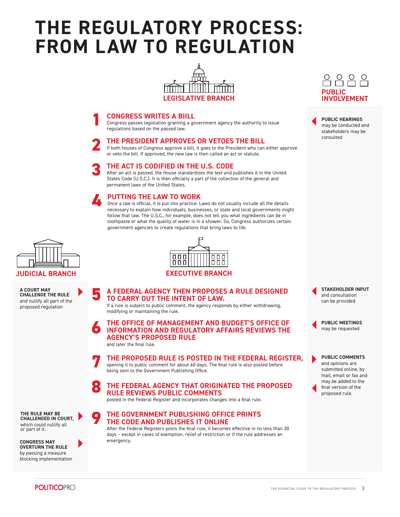# **THE REGULATORY PROCESS: FROM LAW TO REGULATION**



#### **1 CONGRESS WRITES A BIILL**

Congress passes legislation granting a government agency the authority to issue regulations based on the passed law.

#### **2 THE PRESIDENT APPROVES OR VETOES THE BILL**

If both houses of Congress approve a bill, it goes to the President who can either approve or veto the bill. If approved, the new law is then called an act or statute.

#### **3 THE ACT IS CODIFIED IN THE U.S. CODE**

After an act is passed, the House standardizes the text and publishes it in the United States Code (U.S.C.). It is then officially a part of the collection of the general and permanent laws of the United States.

#### **4 PUTTING THE LAW TO WORK**

Once a law is official, it is put into practice. Laws do not usually include all the details necessary to explain how individuals, businesses, or state and local governments might follow that law. The U.S.C., for example, does not tell you what ingredients can be in toothpaste or what the quality of water is in a shower. So, Congress authorizes certain government agencies to create regulations that bring laws to life.



**A COURT MAY CHALLENGE THE RULE**  and nullify all part of the proposed regulation



#### **JUDICIAL BRANCH EXECUTIVE BRANCH**

**5 A FEDERAL AGENCY THEN PROPOSES A RULE DESIGNED TO CARRY OUT THE INTENT OF LAW.**

If a rule is subject to public comment, the agency responds by either withdrawing, modifying or maintaining the rule.

**6 THE OFFICE OF MANAGEMENT AND BUDGET'S OFFICE OF INFORMATION AND REGULATORY AFFAIRS REVIEWS THE AGENCY'S PROPOSED RULE**

and later the final rule.

**7 THE PROPOSED RULE IS POSTED IN THE FEDERAL REGISTER,** opening it to public comment for about 60 days. The final rule is also posted before being sent to the Government Publishing Office.

#### **8 THE FEDERAL AGENCY THAT ORIGINATED THE PROPOSED RULE REVIEWS PUBLIC COMMENTS**

posted in the Federal Register and incorporates changes into a final rule.

#### **9 THE GOVERNMENT PUBLISHING OFFICE PRINTS THE CODE AND PUBLISHES IT ONLINE**

After the Federal Registers posts the final rule, it becomes effective in no less than 30 days – except in cases of exemption, relief of restriction or if the rule addresses an emergency.



**PUBLIC HEARINGS** may be conducted and stakeholders may be consulted

**STAKEHOLDER INPUT** and consultation can be provided

**PUBLIC MEETINGS** may be requested

**PUBLIC COMMENTS** and opinions are submitted online, by mail, email or fax and may be added to the final version of the proposed rule.

**THE RULE MAY BE CHALLENGED IN COURT,**  which could nullify all or part of it.

**CONGRESS MAY OVERTURN THE RULE** by passing a measure blocking implementation

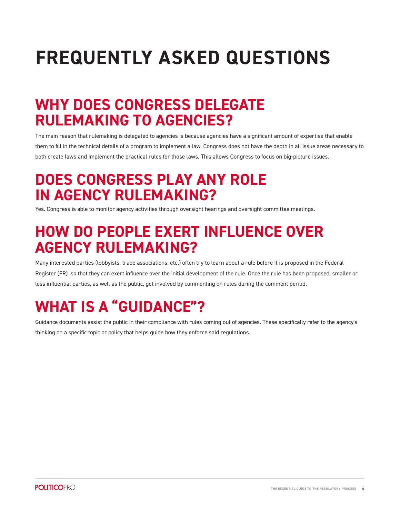# **FREQUENTLY ASKED QUESTIONS**

### **WHY DOES CONGRESS DELEGATE RULEMAKING TO AGENCIES?**

The main reason that rulemaking is delegated to agencies is because agencies have a significant amount of expertise that enable them to fill in the technical details of a program to implement a law. Congress does not have the depth in all issue areas necessary to both create laws and implement the practical rules for those laws. This allows Congress to focus on big-picture issues.

### **DOES CONGRESS PLAY ANY ROLE IN AGENCY RULEMAKING?**

Yes. Congress is able to monitor agency activities through oversight hearings and oversight committee meetings.

### **HOW DO PEOPLE EXERT INFLUENCE OVER AGENCY RULEMAKING?**

Many interested parties (lobbyists, trade associations, etc.) often try to learn about a rule before it is proposed in the Federal Register (FR) so that they can exert influence over the initial development of the rule. Once the rule has been proposed, smaller or less influential parties, as well as the public, get involved by commenting on rules during the comment period.

## **WHAT IS A "GUIDANCE"?**

Guidance documents assist the public in their compliance with rules coming out of agencies. These specifically refer to the agency's thinking on a specific topic or policy that helps guide how they enforce said regulations.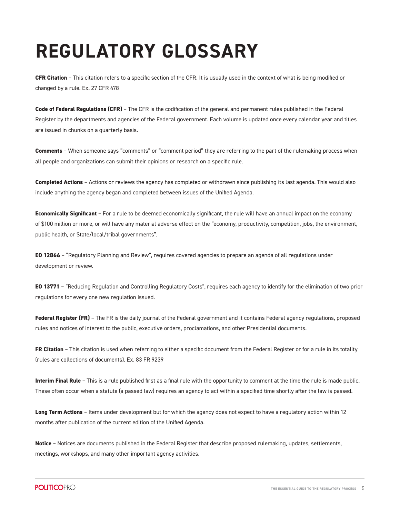# **REGULATORY GLOSSARY**

**CFR Citation** – This citation refers to a specific section of the CFR. It is usually used in the context of what is being modified or changed by a rule. Ex. 27 CFR 478

**Code of Federal Regulations (CFR)** – The CFR is the codification of the general and permanent rules published in the Federal Register by the departments and agencies of the Federal government. Each volume is updated once every calendar year and titles are issued in chunks on a quarterly basis.

**Comments** – When someone says "comments" or "comment period" they are referring to the part of the rulemaking process when all people and organizations can submit their opinions or research on a specific rule.

**Completed Actions** – Actions or reviews the agency has completed or withdrawn since publishing its last agenda. This would also include anything the agency began and completed between issues of the Unified Agenda.

**Economically Significant** – For a rule to be deemed economically significant, the rule will have an annual impact on the economy of \$100 million or more, or will have any material adverse effect on the "economy, productivity, competition, jobs, the environment, public health, or State/local/tribal governments".

**EO 12866** – "Regulatory Planning and Review", requires covered agencies to prepare an agenda of all regulations under development or review.

**EO 13771** – "Reducing Regulation and Controlling Regulatory Costs", requires each agency to identify for the elimination of two prior regulations for every one new regulation issued.

**Federal Register (FR)** – The FR is the daily journal of the Federal government and it contains Federal agency regulations, proposed rules and notices of interest to the public, executive orders, proclamations, and other Presidential documents.

**FR Citation** – This citation is used when referring to either a specific document from the Federal Register or for a rule in its totality (rules are collections of documents). Ex. 83 FR 9239

**Interim Final Rule** – This is a rule published first as a final rule with the opportunity to comment at the time the rule is made public. These often occur when a statute (a passed law) requires an agency to act within a specified time shortly after the law is passed.

**Long Term Actions** – Items under development but for which the agency does not expect to have a regulatory action within 12 months after publication of the current edition of the Unified Agenda.

**Notice** – Notices are documents published in the Federal Register that describe proposed rulemaking, updates, settlements, meetings, workshops, and many other important agency activities.